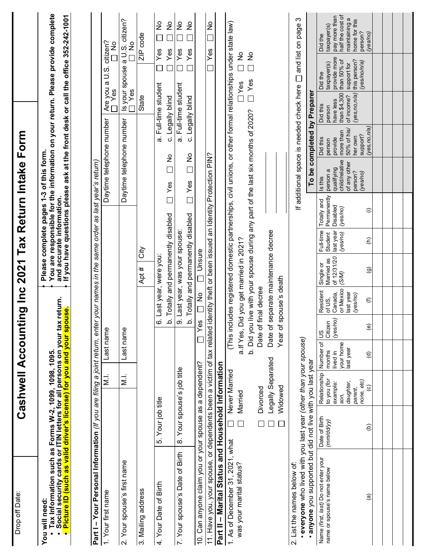| Tax Information such as Forms W-2, 1099, 1098, 1095.<br>Social security cards or ITIN letters for all persons on your tax return.<br><mark>Picture ID (such as valid driver's license) for you and your spouse</mark> .<br>You will need:<br>$\bullet$ |                             |                                                                         |                                                           |                                    |                                                                     | Pleas                                                                 |                                               | and accurate information.                          | e complete pages 1-3 of this form.                                             |                                                                      |                                                                                 |                                                                                                                                                                           | You are responsible for the information on your return. Please provide complete<br>If you have questions please ask at the front desk or call the office 352-242-1001 |
|--------------------------------------------------------------------------------------------------------------------------------------------------------------------------------------------------------------------------------------------------------|-----------------------------|-------------------------------------------------------------------------|-----------------------------------------------------------|------------------------------------|---------------------------------------------------------------------|-----------------------------------------------------------------------|-----------------------------------------------|----------------------------------------------------|--------------------------------------------------------------------------------|----------------------------------------------------------------------|---------------------------------------------------------------------------------|---------------------------------------------------------------------------------------------------------------------------------------------------------------------------|-----------------------------------------------------------------------------------------------------------------------------------------------------------------------|
| Part I - Your Personal Information (If you are filing a joint return, enter your names in the                                                                                                                                                          |                             |                                                                         |                                                           |                                    |                                                                     |                                                                       |                                               |                                                    | same order as last year's return)                                              |                                                                      |                                                                                 |                                                                                                                                                                           |                                                                                                                                                                       |
| Your first name                                                                                                                                                                                                                                        |                             | $\frac{1}{2}$                                                           | Last name                                                 |                                    |                                                                     |                                                                       |                                               |                                                    | Daytime telephone number                                                       |                                                                      | Ýes<br>Are                                                                      | you a U.S.                                                                                                                                                                | citizen?<br>$\frac{8}{5}$                                                                                                                                             |
| Your spouse's first name<br>$\overline{\mathsf{N}}$                                                                                                                                                                                                    |                             | $\overline{M}$ .                                                        | Last name                                                 |                                    |                                                                     |                                                                       |                                               |                                                    | Daytime telephone number                                                       |                                                                      | Yes                                                                             | Is your spouse a U.S. citizen?                                                                                                                                            | $rac{1}{2}$                                                                                                                                                           |
| 3. Mailing address                                                                                                                                                                                                                                     |                             |                                                                         |                                                           |                                    |                                                                     | úb<br>Apt #                                                           |                                               |                                                    |                                                                                |                                                                      | State                                                                           |                                                                                                                                                                           | ZIP code                                                                                                                                                              |
| 4. Your Date of Birth                                                                                                                                                                                                                                  | 5. Your job title           |                                                                         |                                                           |                                    | 6. Last year, were y                                                | b. Totally and permanently disabled<br>ä                              |                                               | $\overline{\phantom{a}}$                           | ž<br>$\Box$<br>Yes                                                             |                                                                      | a. Full-time student<br>c. Legally blind                                        | Yes                                                                                                                                                                       | $\frac{1}{2}$<br>$\frac{1}{2}$<br>Yes                                                                                                                                 |
| 7. Your spouse's Date of Birth                                                                                                                                                                                                                         | 8. Your spouse's job title  |                                                                         |                                                           |                                    |                                                                     | b. Totally and permanently disabled<br>9. Last year, was your spouse: |                                               | $\Box$                                             | o<br>□<br>Yes                                                                  |                                                                      | a. Full-time student<br>c. Legally blind                                        | Yes<br>Yes                                                                                                                                                                | ş<br>ž                                                                                                                                                                |
| 10. Can anyone claim you or your spouse as a dependent?                                                                                                                                                                                                |                             |                                                                         |                                                           | Yes                                | $\frac{9}{11}$                                                      | <b>Dinsure</b>                                                        |                                               |                                                    |                                                                                |                                                                      |                                                                                 |                                                                                                                                                                           |                                                                                                                                                                       |
| 11. Have you, your spouse, or dependents been a victim of tax related identity theft or been issued an Identity Protection PIN?                                                                                                                        |                             |                                                                         |                                                           |                                    |                                                                     |                                                                       |                                               |                                                    |                                                                                |                                                                      |                                                                                 | Yes                                                                                                                                                                       | $\frac{1}{2}$<br>$\overline{\phantom{0}}$                                                                                                                             |
| Part II - Marital Status and Household Information                                                                                                                                                                                                     |                             |                                                                         |                                                           |                                    |                                                                     |                                                                       |                                               |                                                    |                                                                                |                                                                      |                                                                                 |                                                                                                                                                                           |                                                                                                                                                                       |
| 1. As of December 31, 2021, what<br>was your marital status?                                                                                                                                                                                           | Married<br>$\Box$<br>$\Box$ | Never Married                                                           |                                                           |                                    | b. Did you live with your spou<br>a.If Yes, Did you get married     |                                                                       | in 2021?                                      |                                                    | se during any part of the last six months of 2020?                             |                                                                      |                                                                                 | (This includes registered domestic partnerships, civil unions, or other formal relationships under state law)<br>$\frac{1}{2}$<br>ş<br>$\Box$<br>$\Box$ Yes<br><b>Yes</b> |                                                                                                                                                                       |
|                                                                                                                                                                                                                                                        | $\Box$                      | Legally Separated<br>Widowed<br>Divorced                                |                                                           | Date of final decree               | Year of spouse's death                                              | Date of separate maintenance decree                                   |                                               |                                                    |                                                                                |                                                                      |                                                                                 |                                                                                                                                                                           |                                                                                                                                                                       |
| · everyone who lived with you last year (other than your spouse)<br>2. List the names below of:                                                                                                                                                        |                             |                                                                         |                                                           |                                    |                                                                     |                                                                       |                                               |                                                    | If additional space is needed check here                                       |                                                                      |                                                                                 |                                                                                                                                                                           | ω<br>$\Box$ and list on page                                                                                                                                          |
| · anyone you supported but did not live with you last year                                                                                                                                                                                             |                             |                                                                         |                                                           |                                    |                                                                     |                                                                       |                                               |                                                    |                                                                                |                                                                      | To be completed by Preparer                                                     |                                                                                                                                                                           |                                                                                                                                                                       |
| Name (first, last) Do not enter your<br>name or spouse's name below                                                                                                                                                                                    | Date of Birth<br>(mm/dd/yy) | Relationship<br>to you (for<br>daughter,<br>example:<br>parent,<br>SON. | Number of<br>your home<br>last year<br>months<br>lived in | (yes/no)<br>Citizen<br>$rac{8}{1}$ | or Mexico<br>Resident<br>last year<br>Canada,<br>(yes/no)<br>of US, | of 12/31/20<br>38<br>Single or<br>Married<br>(S/M)                    | Full-time<br>last year<br>(yes/no)<br>Student | Permanently<br>Totally and<br>Disabled<br>(yes/no) | child/relative<br>of any other<br>qualifying<br>person a<br>person?<br>Is this | 50% of his/<br>more than<br>her own<br>Did this<br>provide<br>person | than \$4,300<br>(yes, no, n/a)<br>of income?<br>have less<br>Did this<br>person | provide more<br>than 50% of<br>this person?<br>taxpayer(s)<br>support for<br>Did the                                                                                      | half the cost of<br>pay more than<br>maintaining a<br>home for this<br>taxpayer(s)<br>Did the                                                                         |
| $\widehat{\mathbf{e}}$                                                                                                                                                                                                                                 | ê                           | none, etc)<br>$\widehat{c}$                                             | $\widehat{\sigma}$                                        | $\widehat{e}$                      | $\in$                                                               | $\widehat{\mathbf{e}}$                                                | $\widehat{\epsilon}$                          | ⊜                                                  | (yes/no)                                                                       | (yes, no, n/a)<br>support?                                           |                                                                                 | (yes/no/n/a)                                                                                                                                                              | person?<br>(yes/no)                                                                                                                                                   |
|                                                                                                                                                                                                                                                        |                             |                                                                         |                                                           |                                    |                                                                     |                                                                       |                                               |                                                    |                                                                                |                                                                      |                                                                                 |                                                                                                                                                                           |                                                                                                                                                                       |
|                                                                                                                                                                                                                                                        |                             |                                                                         |                                                           |                                    |                                                                     |                                                                       |                                               |                                                    |                                                                                |                                                                      |                                                                                 |                                                                                                                                                                           |                                                                                                                                                                       |